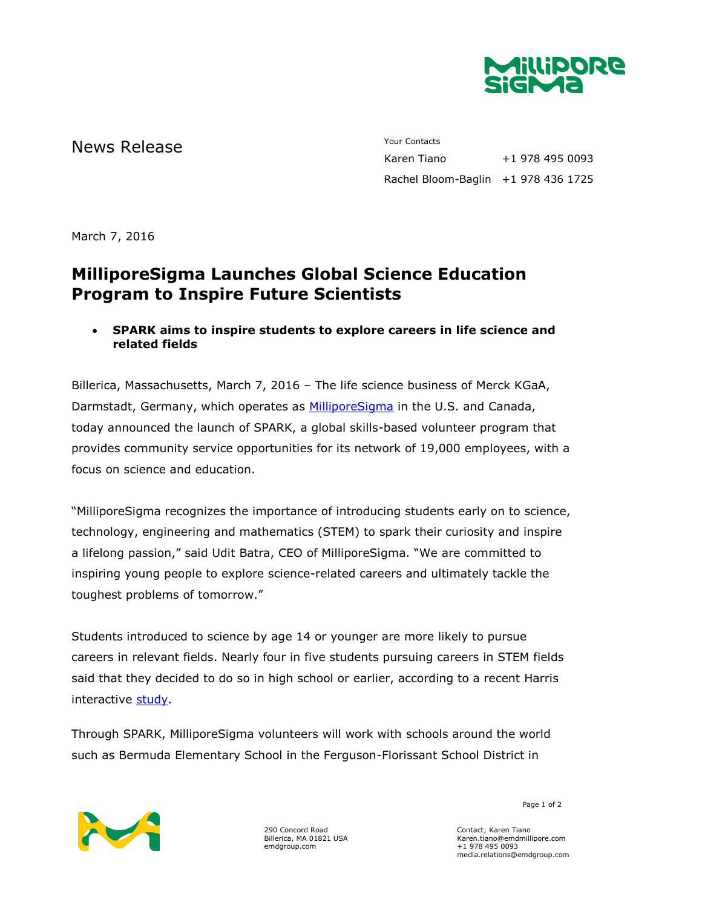

# News Release The Contacts Your Contacts<br>
Karen Tiano

+1 978 495 0093 Rachel Bloom-Baglin +1 978 436 1725

March 7, 2016

## **MilliporeSigma Launches Global Science Education Program to Inspire Future Scientists**

### **SPARK aims to inspire students to explore careers in life science and related fields**

Billerica, Massachusetts, March 7, 2016 – The life science business of Merck KGaA, Darmstadt, Germany, which operates as [MilliporeSigma](http://www.emdgroup.com/emd/products/life_science/life_science.html) in the U.S. and Canada, today announced the launch of SPARK, a global skills-based volunteer program that provides community service opportunities for its network of 19,000 employees, with a focus on science and education.

"MilliporeSigma recognizes the importance of introducing students early on to science, technology, engineering and mathematics (STEM) to spark their curiosity and inspire a lifelong passion," said Udit Batra, CEO of MilliporeSigma. "We are committed to inspiring young people to explore science-related careers and ultimately tackle the toughest problems of tomorrow."

Students introduced to science by age 14 or younger are more likely to pursue careers in relevant fields. Nearly four in five students pursuing careers in STEM fields said that they decided to do so in high school or earlier, according to a recent Harris interactive [study.](http://news.microsoft.com/download/archived/presskits/citizenship/docs/STEMPerceptionsReport.pdf)

Through SPARK, MilliporeSigma volunteers will work with schools around the world such as Bermuda Elementary School in the Ferguson-Florissant School District in



290 Concord Road Billerica, MA 01821 USA emdgroup.com

Page 1 of 2

Contact; Karen Tiano Karen.tiano@emdmillipore.com +1 978 495 0093 media.relations@emdgroup.com